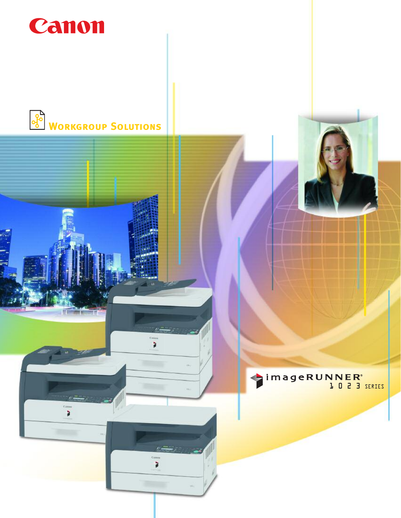

à



à

ì

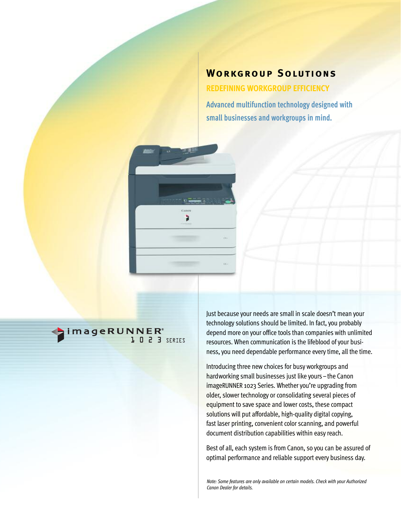# **Workgroup Solutions**

**REDEFINING WORKGROUP EFFICIENCY**

**Advanced multifunction technology designed with small businesses and workgroups in mind.**



imageRUNNER®

Just because your needs are small in scale doesn't mean your technology solutions should be limited. In fact, you probably depend more on your office tools than companies with unlimited resources. When communication is the lifeblood of your business, you need dependable performance every time, all the time.

Introducing three new choices for busy workgroups and hardworking small businesses just like yours–the Canon imageRUNNER 1023 Series. Whether you're upgrading from older, slower technology or consolidating several pieces of equipment to save space and lower costs, these compact solutions will put affordable, high-quality digital copying, fast laser printing, convenient color scanning, and powerful document distribution capabilities within easy reach.

Best of all, each system is from Canon, so you can be assured of optimal performance and reliable support every business day.

*Note: Some features are only available on certain models. Check with your Authorized Canon Dealer for details.*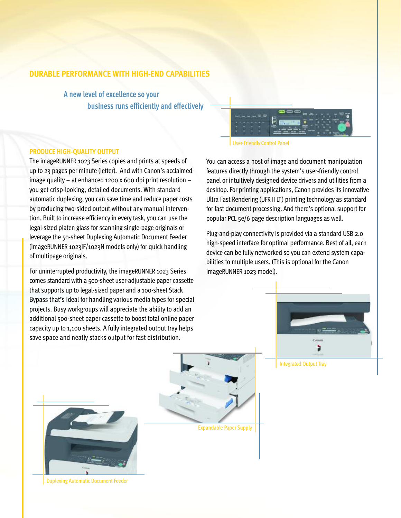## **DURABLE PERFORMANCE WITH HIGH-END CAPABILITIES**

**A new level of excellence so your business runs efficiently and effectively**

### **PRODUCE HIGH-QUALITY OUTPUT**

The imageRUNNER 1023 Series copies and prints at speeds of up to 23 pages per minute (letter). And with Canon's acclaimed image quality – at enhanced 1200 x 600 dpi print resolution – you get crisp-looking, detailed documents. With standard automatic duplexing, you can save time and reduce paper costs by producing two-sided output without any manual intervention. Built to increase efficiency in every task, you can use the legal-sized platen glass for scanning single-page originals or leverage the 50-sheet Duplexing Automatic Document Feeder (imageRUNNER 1023iF/1023N models only) for quick handling of multipage originals.

For uninterrupted productivity, the imageRUNNER 1023 Series comes standard with a 500-sheet user-adjustable paper cassette that supports up to legal-sized paper and a 100-sheet Stack Bypass that's ideal for handling various media types for special projects. Busy workgroups will appreciate the ability to add an additional 500-sheet paper cassette to boost total online paper capacity up to 1,100 sheets. A fully integrated output tray helps save space and neatly stacks output for fast distribution.

User-Friendly Control Panel

You can access a host of image and document manipulation features directly through the system's user-friendly control panel or intuitively designed device drivers and utilities from a desktop. For printing applications, Canon provides its innovative Ultra Fast Rendering (UFR II LT) printing technology as standard for fast document processing. And there's optional support for popular PCL 5e/6 page description languages as well.

Plug-and-play connectivity is provided via a standard USB 2.0 high-speed interface for optimal performance. Best of all, each device can be fully networked so you can extend system capabilities to multiple users. (This is optional for the Canon imageRUNNER 1023 model).





Duplexing Automatic Document Feeder

Expandable Paper Supply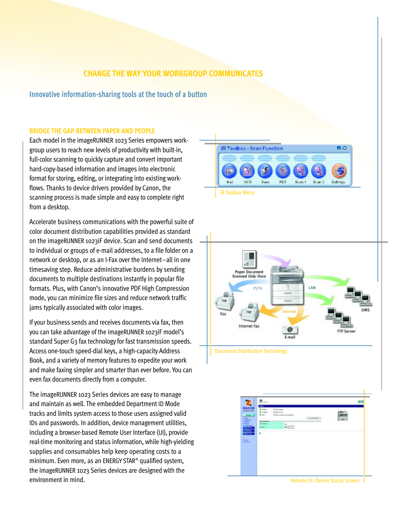## **CHANGE THE WAY YOUR WORKGROUP COMMUNICATES**

### **Innovative information-sharing tools at the touch of a button**

#### **BRIDGE THE GAP BETWEEN PAPER AND PEOPLE**

Each model in the imageRUNNER 1023 Series empowers workgroup users to reach new levels of productivity with built-in, full-color scanning to quickly capture and convert important hard-copy-based information and images into electronic format for storing, editing, or integrating into existing workflows. Thanks to device drivers provided by Canon, the scanning process is made simple and easy to complete right from a desktop.

Accelerate business communications with the powerful suite of color document distribution capabilities provided as standard on the imageRUNNER 1023iF device. Scan and send documents to individual or groups of e-mail addresses, to a file folder on a network or desktop, or as an I-Fax over the Internet–all in one timesaving step. Reduce administrative burdens by sending documents to multiple destinations instantly in popular file formats. Plus, with Canon's innovative PDF High Compression mode, you can minimize file sizes and reduce network traffic jams typically associated with color images.

If your business sends and receives documents via fax, then you can take advantage of the imageRUNNER 1023iF model's standard Super G3 fax technology for fast transmission speeds. Access one-touch speed-dial keys, a high-capacity Address Book, and a variety of memory features to expedite your work and make faxing simpler and smarter than ever before. You can even fax documents directly from a computer.

The imageRUNNER 1023 Series devices are easy to manage and maintain as well. The embedded Department ID Mode tracks and limits system access to those users assigned valid IDs and passwords. In addition, device management utilities, including a browser-based Remote User Interface (UI), provide real-time monitoring and status information, while high-yielding supplies and consumables help keep operating costs to a minimum. Even more, as an ENERGY STAR® qualified system, the imageRUNNER 1023 Series devices are designed with the environment in mind.









Remote UI: Device Status Screen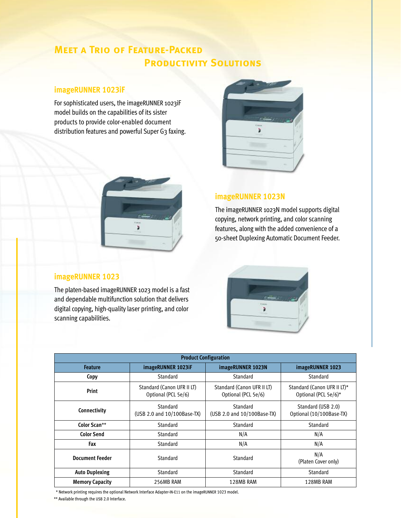## **Meet a Trio of Feature-Packed PRODUCTIVITY SOLUTIONS**

## **imageRUNNER 1023iF**

For sophisticated users, the imageRUNNER 1023iF model builds on the capabilities of its sister products to provide color-enabled document distribution features and powerful Super G3 faxing.





## **imageRUNNER 1023N**

The imageRUNNER 1023N model supports digital copying, network printing, and color scanning features, along with the added convenience of a 50-sheet Duplexing Automatic Document Feeder.

ä

## **imageRUNNER 1023**

The platen-based imageRUNNER 1023 model is a fast and dependable multifunction solution that delivers digital copying, high-quality laser printing, and color scanning capabilities.

| <b>Product Configuration</b> |                                                   |                                                   |                                                     |
|------------------------------|---------------------------------------------------|---------------------------------------------------|-----------------------------------------------------|
| <b>Feature</b>               | imageRUNNER 1023iF                                | imageRUNNER 1023N                                 | imageRUNNER 1023                                    |
| Copy                         | Standard                                          | Standard                                          | Standard                                            |
| Print                        | Standard (Canon UFR II LT)<br>Optional (PCL 5e/6) | Standard (Canon UFR II LT)<br>Optional (PCL 5e/6) | Standard (Canon UFR II LT)*<br>Optional (PCL 5e/6)* |
| Connectivity                 | Standard<br>(USB 2.0 and 10/100Base-TX)           | Standard<br>(USB 2.0 and 10/100Base-TX)           | Standard (USB 2.0)<br>Optional (10/100Base-TX)      |
| Color Scan**                 | Standard                                          | Standard                                          | Standard                                            |
| <b>Color Send</b>            | Standard                                          | N/A                                               | N/A                                                 |
| Fax                          | Standard                                          | N/A                                               | N/A                                                 |
| <b>Document Feeder</b>       | Standard                                          | Standard                                          | N/A<br>(Platen Cover only)                          |
| <b>Auto Duplexing</b>        | Standard                                          | Standard                                          | Standard                                            |
| <b>Memory Capacity</b>       | 256MB RAM                                         | 128MB RAM                                         | 128MB RAM                                           |

\* Network printing requires the optional Network Interface Adapter-IN-E11 on the imageRUNNER 1023 model.

\*\* Available through the USB 2.0 Interface.